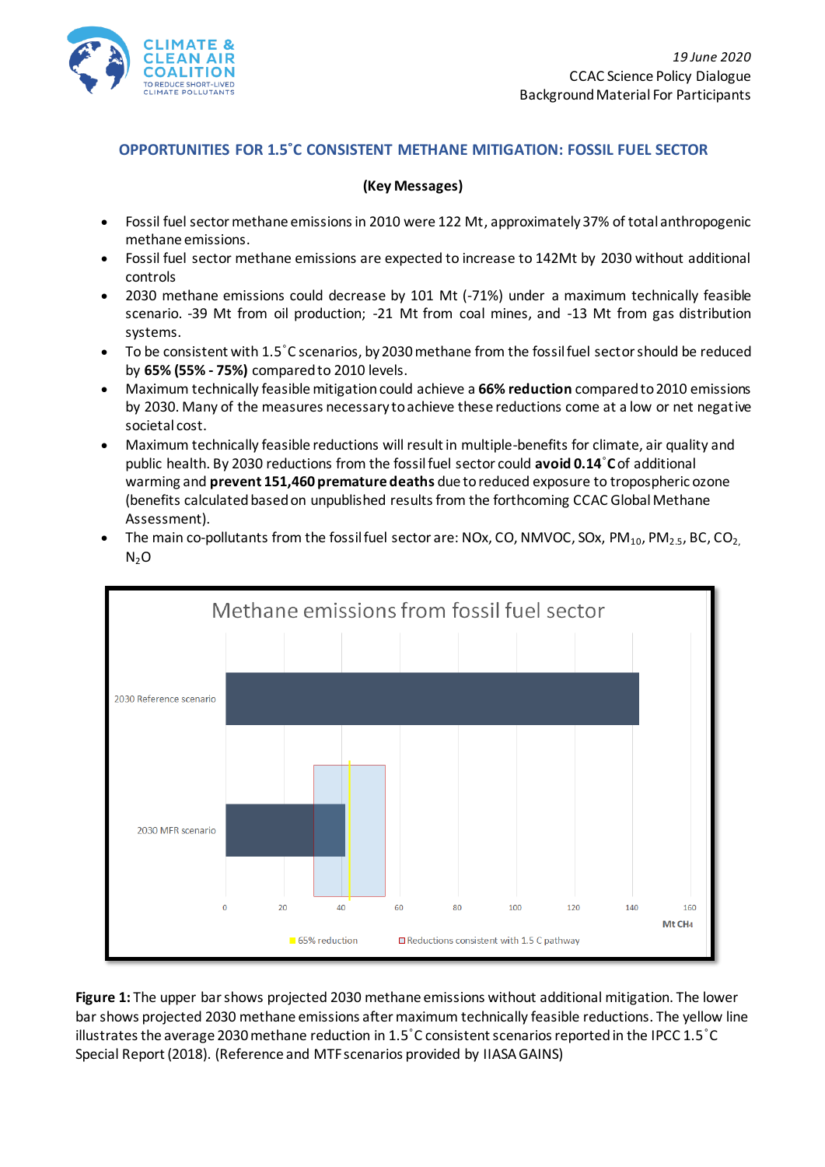

## **OPPORTUNITIES FOR 1.5˚C CONSISTENT METHANE MITIGATION: FOSSIL FUEL SECTOR**

## **(Key Messages)**

- Fossil fuel sector methane emissions in 2010 were 122 Mt, approximately 37% of total anthropogenic methane emissions.
- Fossil fuel sector methane emissions are expected to increase to 142Mt by 2030 without additional controls
- 2030 methane emissions could decrease by 101 Mt (-71%) under a maximum technically feasible scenario. -39 Mt from oil production; -21 Mt from coal mines, and -13 Mt from gas distribution systems.
- To be consistent with 1.5˚C scenarios, by 2030 methane from the fossil fuel sector should be reduced by **65% (55% - 75%)** compared to 2010 levels.
- Maximum technically feasible mitigation could achieve a **66% reduction** compared to 2010 emissions by 2030. Many of the measures necessary to achieve these reductions come at a low or net negative societal cost.
- Maximum technically feasible reductions will result in multiple-benefits for climate, air quality and public health. By 2030 reductions from the fossil fuel sector could **avoid 0.14**˚**C**of additional warming and **prevent 151,460 premature deaths** due to reduced exposure to tropospheric ozone (benefits calculated based on unpublished results from the forthcoming CCAC Global Methane Assessment).



The main co-pollutants from the fossil fuel sector are: NOx, CO, NMVOC, SOx, PM<sub>10</sub>, PM<sub>2.5</sub>, BC, CO<sub>2</sub>  $N_2O$ 

**Figure 1:** The upper bar shows projected 2030 methane emissions without additional mitigation. The lower bar shows projected 2030 methane emissions after maximum technically feasible reductions. The yellow line illustrates the average 2030 methane reduction in 1.5˚C consistent scenarios reported in the IPCC 1.5˚C Special Report (2018). (Reference and MTF scenarios provided by IIASA GAINS)